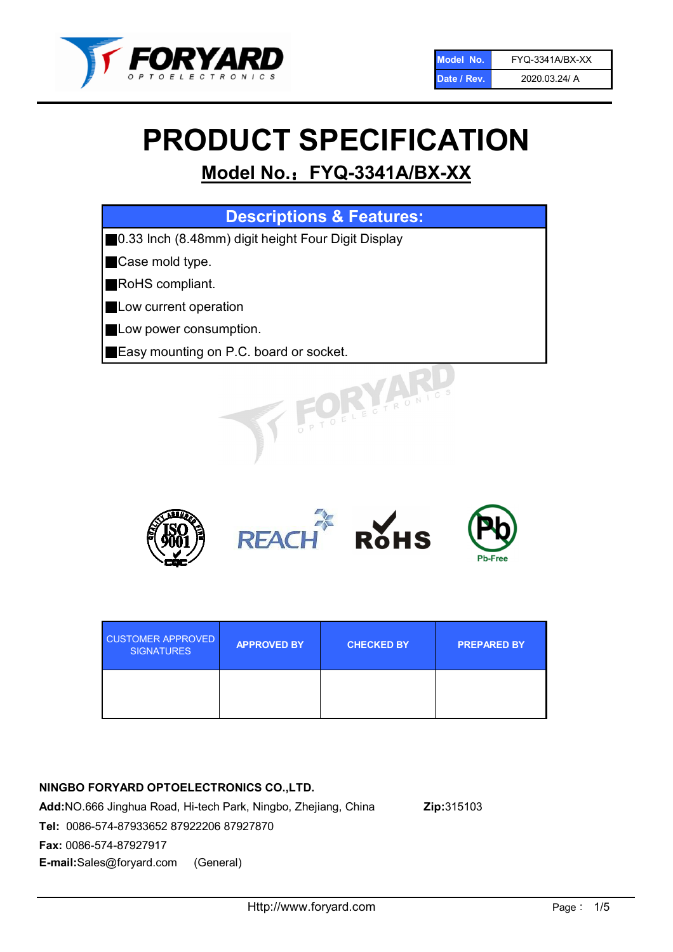

# PRODUCT SPECIFICATION

# Model No.: FYQ-3341A/BX-XX

| <b>Descriptions &amp; Features:</b>                |
|----------------------------------------------------|
| 0.33 Inch (8.48mm) digit height Four Digit Display |
| Case mold type.                                    |
| RoHS compliant.                                    |
| Low current operation                              |
| Low power consumption.                             |
| Easy mounting on P.C. board or socket.             |
| STOELE CTRONIC                                     |



| <b>CUSTOMER APPROVED</b><br><b>SIGNATURES</b> | <b>APPROVED BY</b> | <b>CHECKED BY</b> | <b>PREPARED BY</b> |
|-----------------------------------------------|--------------------|-------------------|--------------------|
|                                               |                    |                   |                    |

# NINGBO FORYARD OPTOELECTRONICS CO.,LTD.

Add:NO.666 Jinghua Road, Hi-tech Park, Ningbo, Zhejiang, China Zip:315103 Tel: 0086-574-87933652 87922206 87927870 Fax: 0086-574-87927917 E-mail:Sales@foryard.com (General)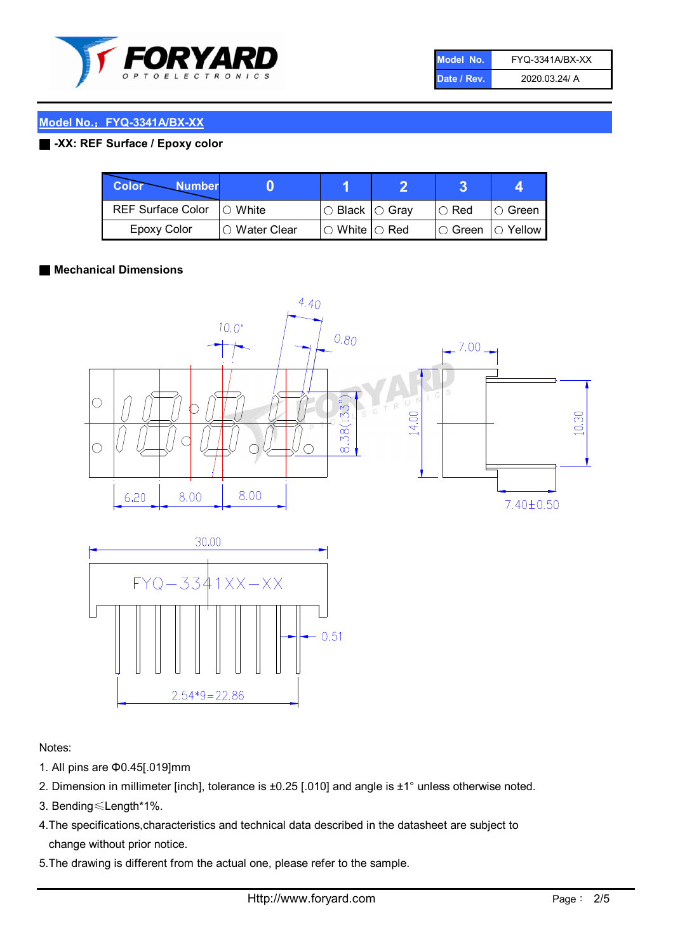

| Model No.   | FYQ-3341A/BX-XX |
|-------------|-----------------|
| Date / Rev. | 2020.03.24/ A   |

#### ■ -XX: REF Surface / Epoxy color

| Color<br><b>Number</b>      |                        |                            |          |                |
|-----------------------------|------------------------|----------------------------|----------|----------------|
| REF Surface Color   O White |                        | $\circ$ Black $\circ$ Gray | I⊖ Red   | ∣O Green       |
| Epoxy Color                 | $\bigcirc$ Water Clear | $\circ$ White $\circ$ Red  | I⊖ Green | $\circ$ Yellow |

#### ■ Mechanical Dimensions





Notes:

- 1. All pins are Φ0.45[.019]mm
- 2. Dimension in millimeter [inch], tolerance is ±0.25 [.010] and angle is ±1° unless otherwise noted.
- 3. Bending≤Length\*1%.
- 4.The specifications,characteristics and technical data described in the datasheet are subject to change without prior notice.
- 5.The drawing is different from the actual one, please refer to the sample.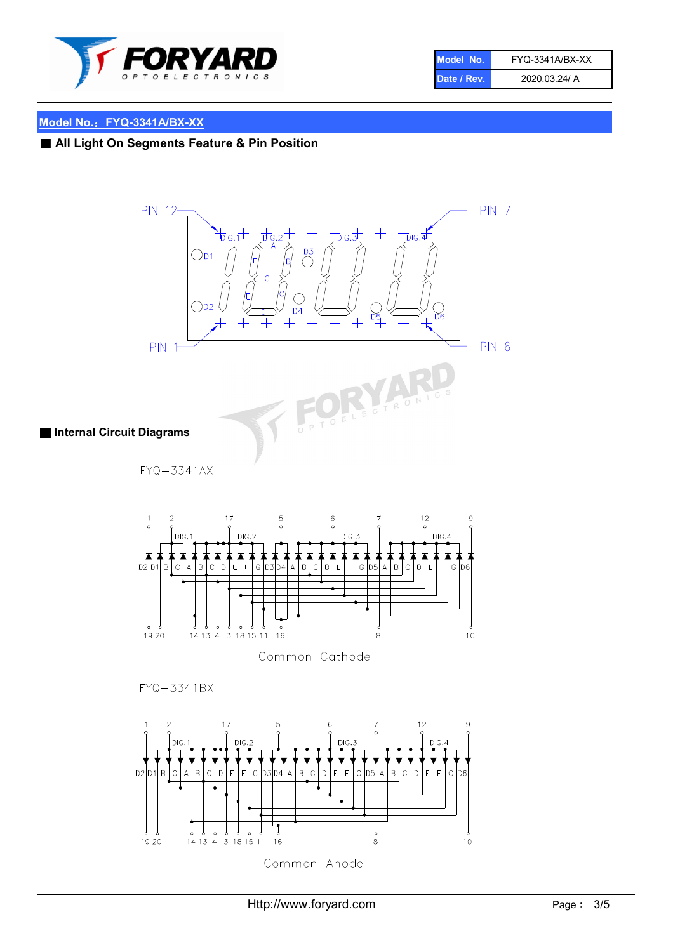

| Model No.   | FYQ-3341A/BX-XX |
|-------------|-----------------|
| Date / Rev. | 2020.03.24/ A   |

# ■ All Light On Segments Feature & Pin Position



Common Anode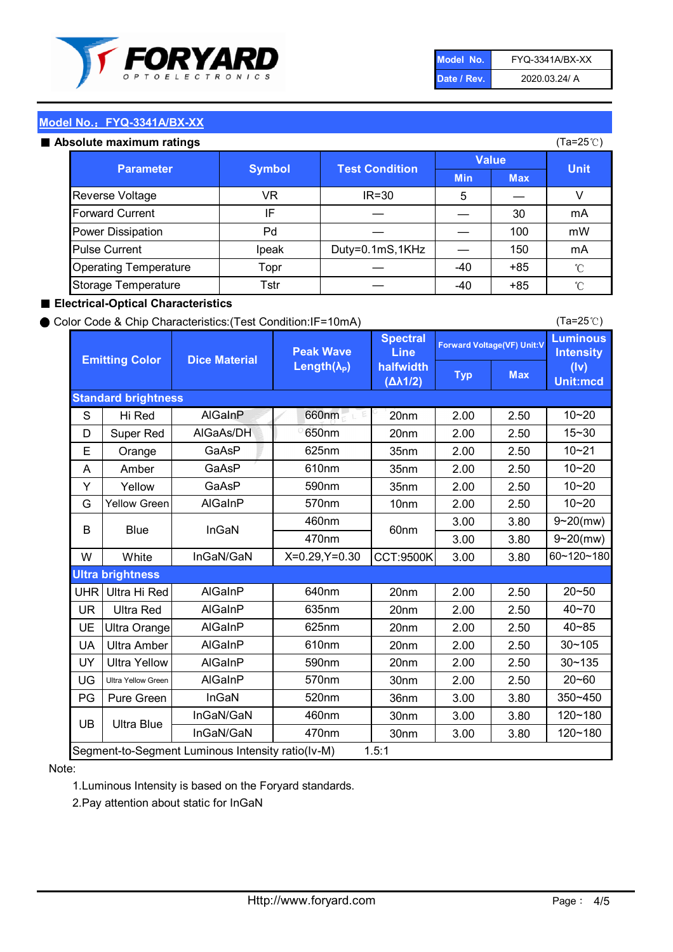

| Model No.   | FYQ-3341A/BX-XX |
|-------------|-----------------|
| Date / Rev. | 2020.03.24/ A   |

#### Absolute maximum ratings

| סטוענס וווסגוווועווו וסנווועס |               |                       |              | (⊺a−∠J ∪ <i>)</i> |              |
|-------------------------------|---------------|-----------------------|--------------|-------------------|--------------|
| <b>Parameter</b>              | <b>Symbol</b> | <b>Test Condition</b> | <b>Value</b> |                   | <b>Unit</b>  |
|                               |               |                       | <b>Min</b>   | <b>Max</b>        |              |
| Reverse Voltage               | VR.           | $IR = 30$             | 5            |                   |              |
| <b>Forward Current</b>        | IF            |                       |              | 30                | mA           |
| Power Dissipation             | Pd            |                       |              | 100               | mW           |
| <b>Pulse Current</b>          | Ipeak         | Duty=0.1mS,1KHz       |              | 150               | mA           |
| <b>Operating Temperature</b>  | Topr          |                       | $-40$        | $+85$             | $^{\circ}$ C |
| Storage Temperature           | Tstr          |                       | $-40$        | $+85$             | °C           |

#### ■ Electrical-Optical Characteristics

#### ● Color Code & Chip Characteristics:(Test Condition:IF=10mA)

Typ Max S | Hi $\textsf{Red}$  | AlGaInP | 660nm LE 20nm | 2.00 | 2.50 D | Super Red | AIGaAs/DH | 650nm | 20nm | 2.00 | 2.50 E | Orange | GaAsP | 625nm | 35nm | 2.00 | 2.50 A | Amber | GaAsP | 610nm | 35nm | 2.00 | 2.50 Y | Yellow | GaAsP | 590nm | 35nm | 2.00 | 2.50 G Yellow Green AIGaInP | 570nm | 10nm | 2.00 | 2.50 3.00 3.80 3.00 3.80 W | White | InGaN/GaN | X=0.29,Y=0.30 |CCT:9500K| 3.00 | 3.80 UHR Ultra Hi Red  $\vert$  AIGaInP  $\vert$  640nm  $\vert$  20nm  $\vert$  2.00  $\vert$  2.50 UR | Ultra Red | AlGaInP | 635nm | 20nm | 2.00 | 2.50 UE Ultra Orange | AIGaInP | 625nm | 20nm | 2.00 | 2.50 UA Ultra Amber | AIGaInP | 610nm | 20nm | 2.00 | 2.50  $UV$  Ultra Yellow  $\vert$  AlGaInP  $\vert$  590nm  $\vert$  20nm  $\vert$  2.00  $\vert$  2.50  $\text{UG}$  Ultra Yellow Green | AIGaInP | 570nm | 30nm | 2.00 | 2.50 PG | Pure Green | InGaN | 520nm | 36nm | 3.00 | 3.80 30nm 3.00 3.80 30nm 3.00 3.80 40~85 60~120~180 40~70 Segment-to-Segment Luminous Intensity ratio(Iv-M) 1.5:1 610nm 9~20(mw) 350~450 470nm 120~180 120~180 Ultra Blue InGaN/GaN 9~20(mw) 20~50 570nm | 30nm | 2.00 | 2.50 | 20~60 470nm 590nm InGaN/GaN B Blue I InGaN 570nm | 10nm | 2.00 | 2.50 | 10~20 30~105 30~135 460nm 520nm Ultra brightness **AlGaInP** AlGaInP 60nm AlGaInP 640nm Peak Wave Length $(\lambda_{\rm P})$ UB 460nm 635nm AlGaInP AlGaInP AlGaInP InGaN/GaN AlGaInP 10~20 Luminous **Intensity** (Iv) Unit:mcd AlGainP 660nm GaAsP GaAsP AlGaAs/DH **Spectral** Line halfwidth (∆λ1/2) 10~20 Standard brightness Forward Voltage(VF) Unit:V 15~30 10~20 625nm GaAsP 590nm **Emitting Color Dice Material** 10~21 610nm

#### Note:

1.Luminous Intensity is based on the Foryard standards.

2.Pay attention about static for InGaN

(Ta=25℃)

(Ta=25℃)